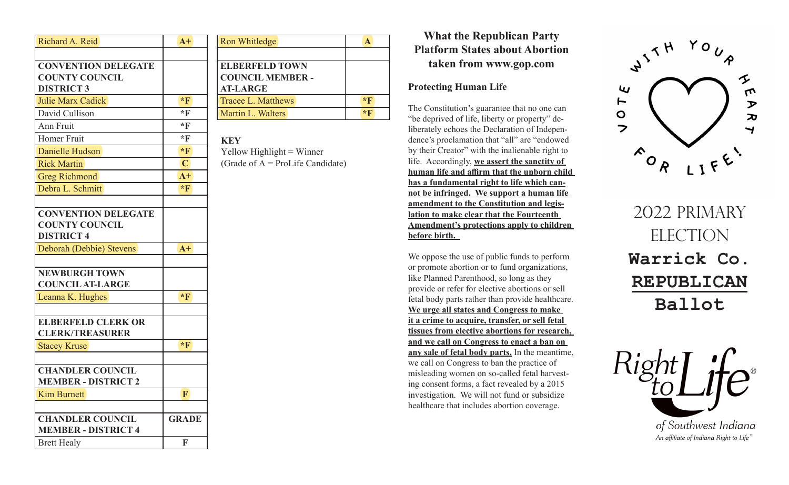| Richard A. Reid                                                          | $A+$           |
|--------------------------------------------------------------------------|----------------|
|                                                                          |                |
| <b>CONVENTION DELEGATE</b>                                               |                |
| <b>COUNTY COUNCIL</b>                                                    |                |
| <b>DISTRICT 3</b>                                                        |                |
| <b>Julie Marx Cadick</b>                                                 | $*$ <b>F</b>   |
| David Cullison                                                           | *F             |
| Ann Fruit                                                                | *F             |
| Homer Fruit                                                              | $*$ F          |
| Danielle Hudson                                                          | $*F$           |
| <b>Rick Martin</b>                                                       | $\overline{C}$ |
| Greg Richmond                                                            | $A+$           |
| Debra L. Schmitt                                                         | $*$ <b>F</b>   |
|                                                                          |                |
| <b>CONVENTION DELEGATE</b><br><b>COUNTY COUNCIL</b><br><b>DISTRICT 4</b> |                |
| Deborah (Debbie) Stevens                                                 | $A+$           |
|                                                                          |                |
| <b>NEWBURGH TOWN</b>                                                     |                |
| <b>COUNCIL AT-LARGE</b>                                                  |                |
| Leanna K. Hughes                                                         | $*$ <b>F</b>   |
|                                                                          |                |
| <b>ELBERFELD CLERK OR</b>                                                |                |
| <b>CLERK/TREASURER</b>                                                   |                |
| <b>Stacey Kruse</b>                                                      | $*$ F          |
|                                                                          |                |
| <b>CHANDLER COUNCIL</b>                                                  |                |
| <b>MEMBER - DISTRICT 2</b>                                               |                |
| <b>Kim Burnett</b>                                                       | F              |
|                                                                          |                |
| <b>CHANDLER COUNCIL</b>                                                  | <b>GRADE</b>   |
| <b>MEMBER - DISTRICT 4</b>                                               |                |
| <b>Brett Healy</b>                                                       | F              |

| <b>Ron Whitledge</b>      |              |
|---------------------------|--------------|
|                           |              |
| <b>ELBERFELD TOWN</b>     |              |
| <b>COUNCIL MEMBER -</b>   |              |
| <b>AT-LARGE</b>           |              |
| <b>Tracee L. Matthews</b> | $*$ <b>F</b> |
| Martin L. Walters         | $*F$         |
|                           |              |

## **KEY**

 $Y$ ellow Highlight = Winner (Grade of  $A = \text{ProLife}$  Candidate)

## **What the Republican Party Platform States about Abortion taken from www.gop.com**

## **Protecting Human Life**

The Constitution's guarantee that no one can "be deprived of life, liberty or property" deliberately echoes the Declaration of Independence's proclamation that "all" are "endowed by their Creator" with the inalienable right to life. Accordingly, **we assert the sanctity of human life and affirm that the unborn child has a fundamental right to life which cannot be infringed. We support a human life amendment to the Constitution and legislation to make clear that the Fourteenth Amendment's protections apply to children before birth.** 

We oppose the use of public funds to perform or promote abortion or to fund organizations, like Planned Parenthood, so long as they provide or refer for elective abortions or sell fetal body parts rather than provide healthcare. **We urge all states and Congress to make it a crime to acquire, transfer, or sell fetal tissues from elective abortions for research, and we call on Congress to enact a ban on any sale of fetal body parts.** In the meantime, we call on Congress to ban the practice of misleading women on so-called fetal harvesting consent forms, a fact revealed by a 2015 investigation. We will not fund or subsidize healthcare that includes abortion coverage.



2022 PRIMARY ELECTION **Warrick Co. REPUBLICAN Ballot**